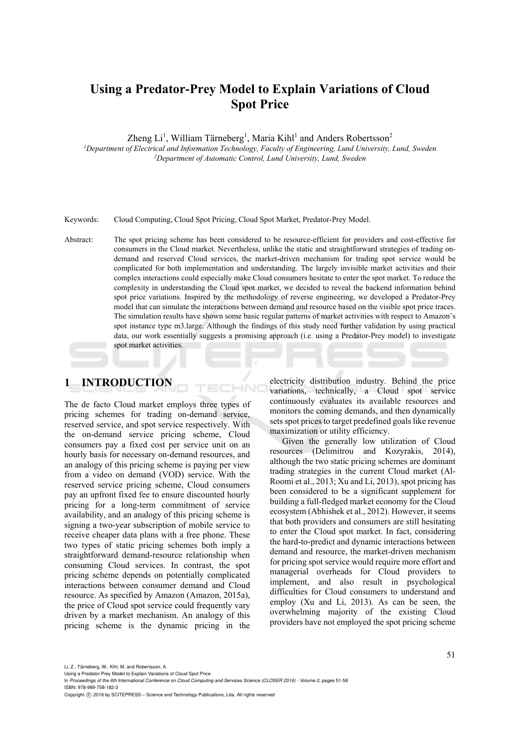# **Using a Predator-Prey Model to Explain Variations of Cloud Spot Price**

Zheng Li<sup>1</sup>, William Tärneberg<sup>1</sup>, Maria Kihl<sup>1</sup> and Anders Robertsson<sup>2</sup>

*1 Department of Electrical and Information Technology, Faculty of Engineering, Lund University, Lund, Sweden 2Department of Automatic Control, Lund University, Lund, Sweden* 

Keywords: Cloud Computing, Cloud Spot Pricing, Cloud Spot Market, Predator-Prey Model.

Abstract: The spot pricing scheme has been considered to be resource-efficient for providers and cost-effective for consumers in the Cloud market. Nevertheless, unlike the static and straightforward strategies of trading ondemand and reserved Cloud services, the market-driven mechanism for trading spot service would be complicated for both implementation and understanding. The largely invisible market activities and their complex interactions could especially make Cloud consumers hesitate to enter the spot market. To reduce the complexity in understanding the Cloud spot market, we decided to reveal the backend information behind spot price variations. Inspired by the methodology of reverse engineering, we developed a Predator-Prey model that can simulate the interactions between demand and resource based on the visible spot price traces. The simulation results have shown some basic regular patterns of market activities with respect to Amazon's spot instance type m3.large. Although the findings of this study need further validation by using practical data, our work essentially suggests a promising approach (i.e. using a Predator-Prey model) to investigate spot market activities.

## **1 INTRODUCTION**

The de facto Cloud market employs three types of pricing schemes for trading on-demand service, reserved service, and spot service respectively. With the on-demand service pricing scheme, Cloud consumers pay a fixed cost per service unit on an hourly basis for necessary on-demand resources, and an analogy of this pricing scheme is paying per view from a video on demand (VOD) service. With the reserved service pricing scheme, Cloud consumers pay an upfront fixed fee to ensure discounted hourly pricing for a long-term commitment of service availability, and an analogy of this pricing scheme is signing a two-year subscription of mobile service to receive cheaper data plans with a free phone. These two types of static pricing schemes both imply a straightforward demand-resource relationship when consuming Cloud services. In contrast, the spot pricing scheme depends on potentially complicated interactions between consumer demand and Cloud resource. As specified by Amazon (Amazon, 2015a), the price of Cloud spot service could frequently vary driven by a market mechanism. An analogy of this pricing scheme is the dynamic pricing in the

electricity distribution industry. Behind the price variations, technically, a Cloud spot service continuously evaluates its available resources and monitors the coming demands, and then dynamically sets spot prices to target predefined goals like revenue maximization or utility efficiency.

Given the generally low utilization of Cloud resources (Delimitrou and Kozyrakis, 2014), although the two static pricing schemes are dominant trading strategies in the current Cloud market (Al-Roomi et al., 2013; Xu and Li, 2013), spot pricing has been considered to be a significant supplement for building a full-fledged market economy for the Cloud ecosystem (Abhishek et al., 2012). However, it seems that both providers and consumers are still hesitating to enter the Cloud spot market. In fact, considering the hard-to-predict and dynamic interactions between demand and resource, the market-driven mechanism for pricing spot service would require more effort and managerial overheads for Cloud providers to implement, and also result in psychological difficulties for Cloud consumers to understand and employ (Xu and Li, 2013). As can be seen, the overwhelming majority of the existing Cloud providers have not employed the spot pricing scheme

In *Proceedings of the 6th International Conference on Cloud Computing and Services Science (CLOSER 2016) - Volume 2*, pages 51-58 ISBN: 978-989-758-182-3

Copyright (C) 2016 by SCITEPRESS - Science and Technology Publications, Lda. All rights reserved

Using a Predator-Prey Model to Explain Variations of Cloud Spot Price.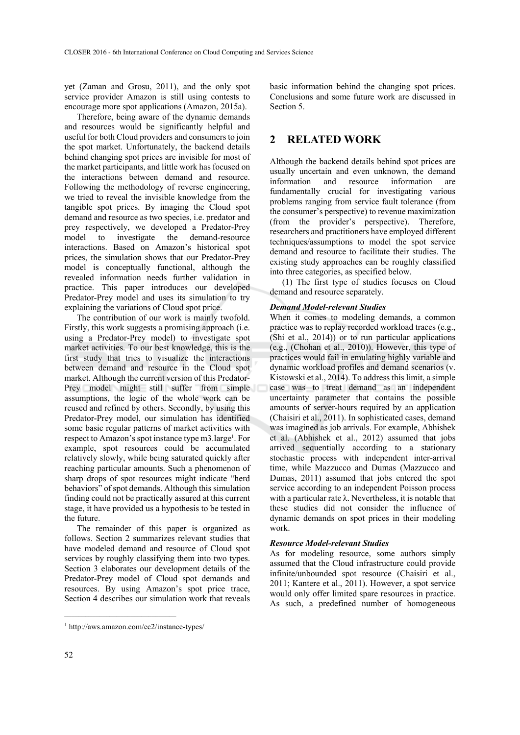yet (Zaman and Grosu, 2011), and the only spot service provider Amazon is still using contests to encourage more spot applications (Amazon, 2015a).

Therefore, being aware of the dynamic demands and resources would be significantly helpful and useful for both Cloud providers and consumers to join the spot market. Unfortunately, the backend details behind changing spot prices are invisible for most of the market participants, and little work has focused on the interactions between demand and resource. Following the methodology of reverse engineering, we tried to reveal the invisible knowledge from the tangible spot prices. By imaging the Cloud spot demand and resource as two species, i.e. predator and prey respectively, we developed a Predator-Prey model to investigate the demand-resource interactions. Based on Amazon's historical spot prices, the simulation shows that our Predator-Prey model is conceptually functional, although the revealed information needs further validation in practice. This paper introduces our developed Predator-Prey model and uses its simulation to try explaining the variations of Cloud spot price.

The contribution of our work is mainly twofold. Firstly, this work suggests a promising approach (i.e. using a Predator-Prey model) to investigate spot market activities. To our best knowledge, this is the first study that tries to visualize the interactions between demand and resource in the Cloud spot market. Although the current version of this Predator-Prey model might still suffer from simple assumptions, the logic of the whole work can be reused and refined by others. Secondly, by using this Predator-Prey model, our simulation has identified some basic regular patterns of market activities with respect to Amazon's spot instance type m3.large<sup>1</sup>. For example, spot resources could be accumulated relatively slowly, while being saturated quickly after reaching particular amounts. Such a phenomenon of sharp drops of spot resources might indicate "herd behaviors" of spot demands. Although this simulation finding could not be practically assured at this current stage, it have provided us a hypothesis to be tested in the future.

The remainder of this paper is organized as follows. Section 2 summarizes relevant studies that have modeled demand and resource of Cloud spot services by roughly classifying them into two types. Section 3 elaborates our development details of the Predator-Prey model of Cloud spot demands and resources. By using Amazon's spot price trace, Section 4 describes our simulation work that reveals

basic information behind the changing spot prices. Conclusions and some future work are discussed in Section 5.

## **2 RELATED WORK**

Although the backend details behind spot prices are usually uncertain and even unknown, the demand information and resource information are fundamentally crucial for investigating various problems ranging from service fault tolerance (from the consumer's perspective) to revenue maximization (from the provider's perspective). Therefore, researchers and practitioners have employed different techniques/assumptions to model the spot service demand and resource to facilitate their studies. The existing study approaches can be roughly classified into three categories, as specified below.

(1) The first type of studies focuses on Cloud demand and resource separately.

#### *Demand Model-relevant Studies*

When it comes to modeling demands, a common practice was to replay recorded workload traces (e.g., (Shi et al., 2014)) or to run particular applications (e.g., (Chohan et al., 2010)). However, this type of practices would fail in emulating highly variable and dynamic workload profiles and demand scenarios (v. Kistowski et al., 2014). To address this limit, a simple case was to treat demand as an independent uncertainty parameter that contains the possible amounts of server-hours required by an application (Chaisiri et al., 2011). In sophisticated cases, demand was imagined as job arrivals. For example, Abhishek et al. (Abhishek et al., 2012) assumed that jobs arrived sequentially according to a stationary stochastic process with independent inter-arrival time, while Mazzucco and Dumas (Mazzucco and Dumas, 2011) assumed that jobs entered the spot service according to an independent Poisson process with a particular rate  $\lambda$ . Nevertheless, it is notable that these studies did not consider the influence of dynamic demands on spot prices in their modeling work.

#### *Resource Model-relevant Studies*

As for modeling resource, some authors simply assumed that the Cloud infrastructure could provide infinite/unbounded spot resource (Chaisiri et al., 2011; Kantere et al., 2011). However, a spot service would only offer limited spare resources in practice. As such, a predefined number of homogeneous

 $\mathcal{L}_\text{max}$ 

<sup>1</sup> http://aws.amazon.com/ec2/instance-types/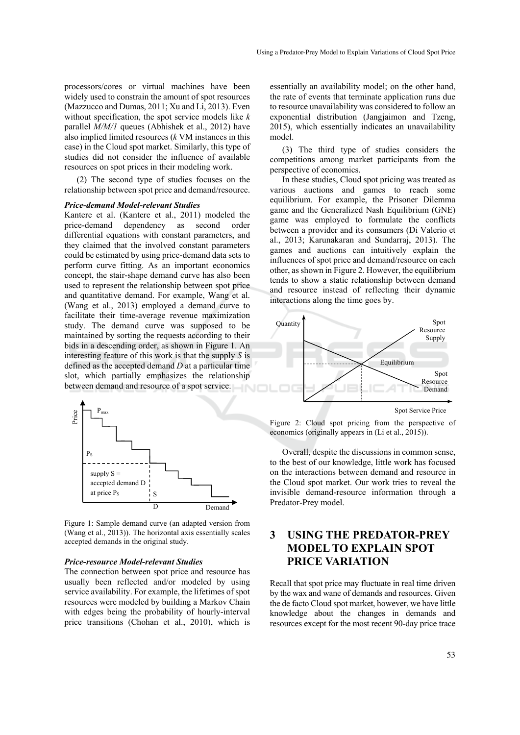processors/cores or virtual machines have been widely used to constrain the amount of spot resources (Mazzucco and Dumas, 2011; Xu and Li, 2013). Even without specification, the spot service models like *k* parallel *M/M/1* queues (Abhishek et al., 2012) have also implied limited resources (*k* VM instances in this case) in the Cloud spot market. Similarly, this type of studies did not consider the influence of available resources on spot prices in their modeling work.

(2) The second type of studies focuses on the relationship between spot price and demand/resource.

#### *Price-demand Model-relevant Studies*

Kantere et al. (Kantere et al., 2011) modeled the price-demand dependency as second order differential equations with constant parameters, and they claimed that the involved constant parameters could be estimated by using price-demand data sets to perform curve fitting. As an important economics concept, the stair-shape demand curve has also been used to represent the relationship between spot price and quantitative demand. For example, Wang et al. (Wang et al., 2013) employed a demand curve to facilitate their time-average revenue maximization study. The demand curve was supposed to be maintained by sorting the requests according to their bids in a descending order, as shown in Figure 1. An interesting feature of this work is that the supply *S* is defined as the accepted demand *D* at a particular time slot, which partially emphasizes the relationship between demand and resource of a spot service.



Figure 1: Sample demand curve (an adapted version from (Wang et al., 2013)). The horizontal axis essentially scales accepted demands in the original study.

#### *Price-resource Model-relevant Studies*

The connection between spot price and resource has usually been reflected and/or modeled by using service availability. For example, the lifetimes of spot resources were modeled by building a Markov Chain with edges being the probability of hourly-interval price transitions (Chohan et al., 2010), which is

essentially an availability model; on the other hand, the rate of events that terminate application runs due to resource unavailability was considered to follow an exponential distribution (Jangjaimon and Tzeng, 2015), which essentially indicates an unavailability model.

(3) The third type of studies considers the competitions among market participants from the perspective of economics.

In these studies, Cloud spot pricing was treated as various auctions and games to reach some equilibrium. For example, the Prisoner Dilemma game and the Generalized Nash Equilibrium (GNE) game was employed to formulate the conflicts between a provider and its consumers (Di Valerio et al., 2013; Karunakaran and Sundarraj, 2013). The games and auctions can intuitively explain the influences of spot price and demand/resource on each other, as shown in Figure 2. However, the equilibrium tends to show a static relationship between demand and resource instead of reflecting their dynamic interactions along the time goes by.



Spot Service Price

Figure 2: Cloud spot pricing from the perspective of economics (originally appears in (Li et al., 2015)).

Overall, despite the discussions in common sense, to the best of our knowledge, little work has focused on the interactions between demand and resource in the Cloud spot market. Our work tries to reveal the invisible demand-resource information through a Predator-Prey model.

## **3 USING THE PREDATOR-PREY MODEL TO EXPLAIN SPOT PRICE VARIATION**

Recall that spot price may fluctuate in real time driven by the wax and wane of demands and resources. Given the de facto Cloud spot market, however, we have little knowledge about the changes in demands and resources except for the most recent 90-day price trace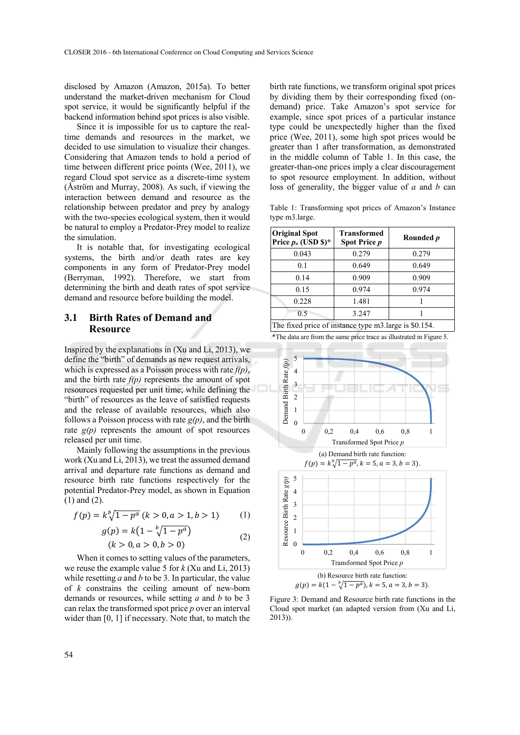disclosed by Amazon (Amazon, 2015a). To better understand the market-driven mechanism for Cloud spot service, it would be significantly helpful if the backend information behind spot prices is also visible.

Since it is impossible for us to capture the realtime demands and resources in the market, we decided to use simulation to visualize their changes. Considering that Amazon tends to hold a period of time between different price points (Wee, 2011), we regard Cloud spot service as a discrete-time system (Åström and Murray, 2008). As such, if viewing the interaction between demand and resource as the relationship between predator and prey by analogy with the two-species ecological system, then it would be natural to employ a Predator-Prey model to realize the simulation.

It is notable that, for investigating ecological systems, the birth and/or death rates are key components in any form of Predator-Prey model (Berryman, 1992). Therefore, we start from determining the birth and death rates of spot service demand and resource before building the model.

### **3.1 Birth Rates of Demand and Resource**

Inspired by the explanations in (Xu and Li, 2013), we define the "birth" of demands as new request arrivals, which is expressed as a Poisson process with rate *f(p)*, and the birth rate *f(p)* represents the amount of spot resources requested per unit time; while defining the "birth" of resources as the leave of satisfied requests and the release of available resources, which also follows a Poisson process with rate *g(p)*, and the birth rate  $g(p)$  represents the amount of spot resources released per unit time.

Mainly following the assumptions in the previous work (Xu and Li, 2013), we treat the assumed demand arrival and departure rate functions as demand and resource birth rate functions respectively for the potential Predator-Prey model, as shown in Equation (1) and (2).

$$
f(p) = k \sqrt[b]{1 - p^a} (k > 0, a > 1, b > 1)
$$
 (1)

$$
g(p) = k\left(1 - \sqrt[b]{1 - p^a}\right)
$$
  
(k > 0, a > 0, b > 0) (2)

When it comes to setting values of the parameters, we reuse the example value 5 for *k* (Xu and Li, 2013) while resetting *a* and *b* to be 3. In particular, the value of *k* constrains the ceiling amount of new-born demands or resources, while setting *a* and *b* to be 3 can relax the transformed spot price *p* over an interval wider than [0, 1] if necessary. Note that, to match the

birth rate functions, we transform original spot prices by dividing them by their corresponding fixed (ondemand) price. Take Amazon's spot service for example, since spot prices of a particular instance type could be unexpectedly higher than the fixed price (Wee, 2011), some high spot prices would be greater than 1 after transformation, as demonstrated in the middle column of Table 1. In this case, the greater-than-one prices imply a clear discouragement to spot resource employment. In addition, without loss of generality, the bigger value of *a* and *b* can

Table 1: Transforming spot prices of Amazon's Instance type m3.large.

| <b>Original Spot</b><br>Price $p_o$ (USD \$)*         | <b>Transformed</b><br><b>Spot Price p</b> | Rounded p |
|-------------------------------------------------------|-------------------------------------------|-----------|
| 0.043                                                 | 0.279                                     | 0.279     |
| 0.1                                                   | 0.649                                     | 0.649     |
| 0.14                                                  | 0.909                                     | 0.909     |
| 0.15                                                  | 0.974                                     | 0.974     |
| 0.228                                                 | 1.481                                     |           |
| 0.5                                                   | 3.247                                     |           |
| The fixed price of instance type m3.large is \$0.154. |                                           |           |

\*The data are from the same price trace as illustrated in Figure 5.



Figure 3: Demand and Resource birth rate functions in the Cloud spot market (an adapted version from (Xu and Li, 2013)).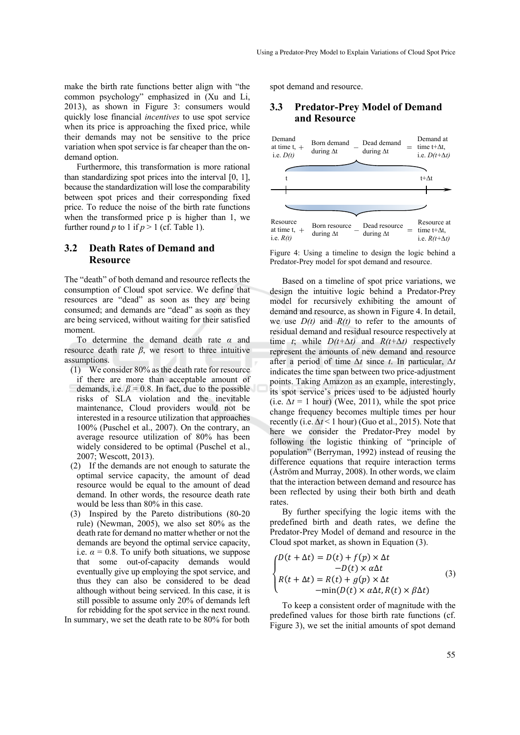make the birth rate functions better align with "the common psychology" emphasized in (Xu and Li, 2013), as shown in Figure 3: consumers would quickly lose financial *incentives* to use spot service when its price is approaching the fixed price, while their demands may not be sensitive to the price variation when spot service is far cheaper than the ondemand option.

Furthermore, this transformation is more rational than standardizing spot prices into the interval [0, 1], because the standardization will lose the comparability between spot prices and their corresponding fixed price. To reduce the noise of the birth rate functions when the transformed price p is higher than 1, we further round *p* to 1 if  $p > 1$  (cf. Table 1).

### **3.2 Death Rates of Demand and Resource**

The "death" of both demand and resource reflects the consumption of Cloud spot service. We define that resources are "dead" as soon as they are being consumed; and demands are "dead" as soon as they are being serviced, without waiting for their satisfied moment.

To determine the demand death rate *α* and resource death rate *β*, we resort to three intuitive assumptions.

- (1) We consider 80% as the death rate for resource if there are more than acceptable amount of demands, i.e.  $\beta$  = 0.8. In fact, due to the possible risks of SLA violation and the inevitable maintenance, Cloud providers would not be interested in a resource utilization that approaches 100% (Puschel et al., 2007). On the contrary, an average resource utilization of 80% has been widely considered to be optimal (Puschel et al., 2007; Wescott, 2013).
- (2) If the demands are not enough to saturate the optimal service capacity, the amount of dead resource would be equal to the amount of dead demand. In other words, the resource death rate would be less than 80% in this case.
- (3) Inspired by the Pareto distributions (80-20 rule) (Newman, 2005), we also set 80% as the death rate for demand no matter whether or not the demands are beyond the optimal service capacity, i.e.  $\alpha = 0.8$ . To unify both situations, we suppose that some out-of-capacity demands would eventually give up employing the spot service, and thus they can also be considered to be dead although without being serviced. In this case, it is still possible to assume only 20% of demands left for rebidding for the spot service in the next round. In summary, we set the death rate to be 80% for both

spot demand and resource.

### **3.3 Predator-Prey Model of Demand and Resource**



Figure 4: Using a timeline to design the logic behind a Predator-Prey model for spot demand and resource.

Based on a timeline of spot price variations, we design the intuitive logic behind a Predator-Prey model for recursively exhibiting the amount of demand and resource, as shown in Figure 4. In detail. we use *D(t)* and *R(t)* to refer to the amounts of residual demand and residual resource respectively at time *t*; while  $D(t+\Delta t)$  and  $R(t+\Delta t)$  respectively represent the amounts of new demand and resource after a period of time *∆t* since *t*. In particular, *∆t* indicates the time span between two price-adjustment points. Taking Amazon as an example, interestingly, its spot service's prices used to be adjusted hourly (i.e.  $\Delta t = 1$  hour) (Wee, 2011), while the spot price change frequency becomes multiple times per hour recently (i.e.  $\Delta t$  < 1 hour) (Guo et al., 2015). Note that here we consider the Predator-Prey model by following the logistic thinking of "principle of population" (Berryman, 1992) instead of reusing the difference equations that require interaction terms (Åström and Murray, 2008). In other words, we claim that the interaction between demand and resource has been reflected by using their both birth and death rates.

By further specifying the logic items with the predefined birth and death rates, we define the Predator-Prey Model of demand and resource in the Cloud spot market, as shown in Equation (3).

$$
\begin{cases}\nD(t + \Delta t) = D(t) + f(p) \times \Delta t \\
-D(t) \times \alpha \Delta t \\
R(t + \Delta t) = R(t) + g(p) \times \Delta t \\
-\min(D(t) \times \alpha \Delta t, R(t) \times \beta \Delta t)\n\end{cases} (3)
$$

To keep a consistent order of magnitude with the predefined values for those birth rate functions (cf. Figure 3), we set the initial amounts of spot demand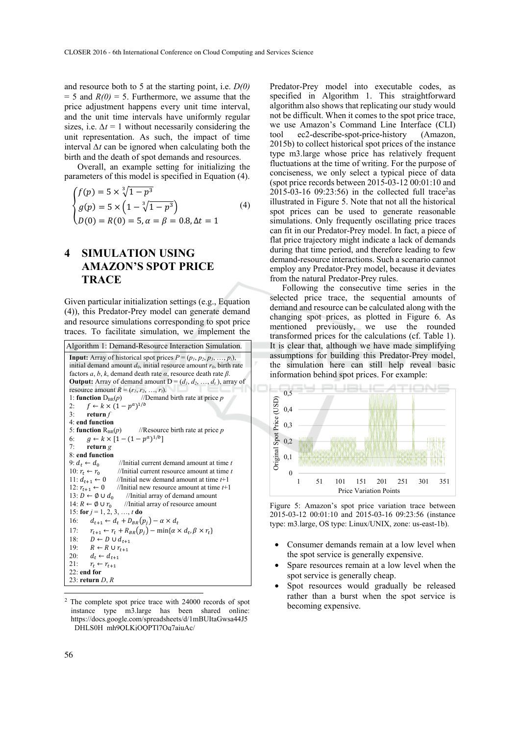and resource both to 5 at the starting point, i.e. *D(0)*  $= 5$  and  $R(0) = 5$ . Furthermore, we assume that the price adjustment happens every unit time interval, and the unit time intervals have uniformly regular sizes, i.e.  $\Delta t = 1$  without necessarily considering the unit representation. As such, the impact of time interval *∆t* can be ignored when calculating both the birth and the death of spot demands and resources.

Overall, an example setting for initializing the parameters of this model is specified in Equation (4).

$$
\begin{cases}\nf(p) = 5 \times \sqrt[3]{1 - p^3} \\
g(p) = 5 \times \left(1 - \sqrt[3]{1 - p^3}\right) \\
D(0) = R(0) = 5, \alpha = \beta = 0.8, \Delta t = 1\n\end{cases}
$$
\n(4)

## **4 SIMULATION USING AMAZON'S SPOT PRICE TRACE**

Given particular initialization settings (e.g., Equation (4)), this Predator-Prey model can generate demand and resource simulations corresponding to spot price traces. To facilitate simulation, we implement the

```
Algorithm 1: Demand-Resource Interaction Simulation. 
 Input: Array of historical spot prices P = (p_1, p_2, p_3, \ldots, p_t),
 initial demand amount d_0, initial resource amount r_0, birth rate
 factors a, b, k, demand death rate \alpha, resource death rate \beta.
 Output: Array of demand amount D = (d_1, d_2, ..., d_t), array of
 resource amount R = (r_1, r_2, ..., r_t).<br>1: function D<sub>BR</sub>(p) //Demand
 1: function D<sub>BR</sub>(p) //Demand birth rate at price p<br>
\gamma \leftarrow f \leftarrow k \times (1 - n^{\alpha})^{1/b}f \leftarrow k \times (1-p^a)^{1/b}3: return f
 4: end function 
 5: function R_{BR}(p) //Resource birth rate at price p
 6: g \leftarrow k \times [1 - (1 - p^a)^{1/b}]7: return g
 8: end function 
 9: d_t \leftarrow d_0 //Initial current demand amount at time t
 10: r_t \leftarrow r_0 //Initial current resource amount at time t<br>11: d_{t+1} \leftarrow 0 //Initial new demand amount at time t+1
 11: d_{t+1} \leftarrow 0 //Initial new demand amount at time t+1<br>12: r_{t+1} \leftarrow 0 //Initial new resource amount at time t+1
 12: r_{t+1} \leftarrow 0 //Initial new resource amount at time t+1<br>13: D \leftarrow \emptyset \cup d_0 //Initial array of demand amount
 13: D \leftarrow \emptyset \cup d_0 //Initial array of demand amount<br>14: R \leftarrow \emptyset \cup r_0 //Initial array of resource amount
                                 //Initial array of resource amount
 15: for j = 1, 2, 3, \ldots, t do
 16: d_{t+1} \leftarrow d_t + D_{BR}(p_j) - \alpha \times d_t<br>17: r_{t+1} \leftarrow r_t + R_{PS}(p_i) - \min \{\alpha \}17: r_{t+1} \leftarrow r_t + R_{BR}(p_j) - \min\{\alpha \times d_t, \beta \times r_t\}<br>18: D \leftarrow D \cup d_{t+1}18: D \leftarrow D \cup d_{t+1}<br>
19: B \leftarrow B \cup rR \leftarrow R \cup r_{t+1}20: d_t \leftarrow d_{t+1}<br>21: r_t \leftarrow r_{t+1}r_t \leftarrow r_{t+1}22: end for 
 23: return D, R
```
Predator-Prey model into executable codes, as specified in Algorithm 1. This straightforward algorithm also shows that replicating our study would not be difficult. When it comes to the spot price trace, we use Amazon's Command Line Interface (CLI) tool ec2-describe-spot-price-history (Amazon, 2015b) to collect historical spot prices of the instance type m3.large whose price has relatively frequent fluctuations at the time of writing. For the purpose of conciseness, we only select a typical piece of data (spot price records between 2015-03-12 00:01:10 and  $2015-03-16$  09:23:56) in the collected full trace<sup>2</sup>as illustrated in Figure 5. Note that not all the historical spot prices can be used to generate reasonable simulations. Only frequently oscillating price traces can fit in our Predator-Prey model. In fact, a piece of flat price trajectory might indicate a lack of demands during that time period, and therefore leading to few demand-resource interactions. Such a scenario cannot employ any Predator-Prey model, because it deviates from the natural Predator-Prey rules.

Following the consecutive time series in the selected price trace, the sequential amounts of demand and resource can be calculated along with the changing spot prices, as plotted in Figure 6. As mentioned previously, we use the rounded transformed prices for the calculations (cf. Table 1). It is clear that, although we have made simplifying assumptions for building this Predator-Prey model, the simulation here can still help reveal basic information behind spot prices. For example:



Figure 5: Amazon's spot price variation trace between 2015-03-12 00:01:10 and 2015-03-16 09:23:56 (instance type: m3.large, OS type: Linux/UNIX, zone: us-east-1b).

- Consumer demands remain at a low level when the spot service is generally expensive.
- Spare resources remain at a low level when the spot service is generally cheap.
- Spot resources would gradually be released rather than a burst when the spot service is becoming expensive.

<sup>2</sup> The complete spot price trace with 24000 records of spot instance type m3.large has been shared online: https://docs.google.com/spreadsheets/d/1mBUItaGwsa44J5 DHLS0H mh9OLKjOOPTl7Oq7ajuAc/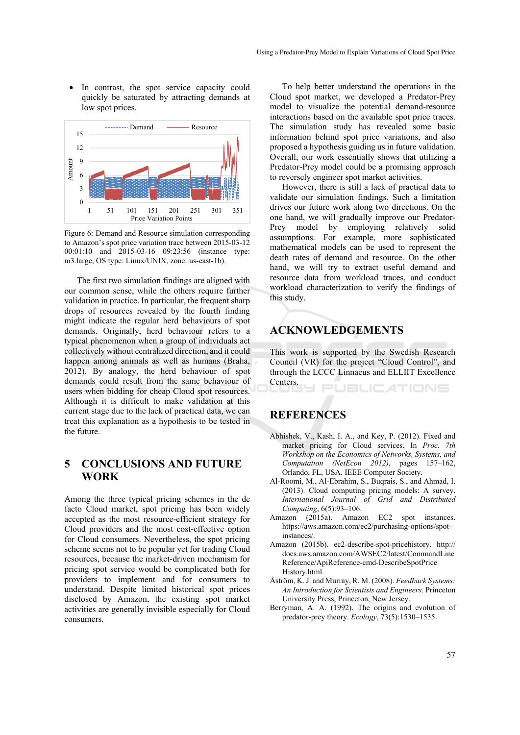In contrast, the spot service capacity could quickly be saturated by attracting demands at low spot prices.



Figure 6: Demand and Resource simulation corresponding to Amazon's spot price variation trace between 2015-03-12 00:01:10 and 2015-03-16 09:23:56 (instance type: m3.large, OS type: Linux/UNIX, zone: us-east-1b).

The first two simulation findings are aligned with our common sense, while the others require further validation in practice. In particular, the frequent sharp drops of resources revealed by the fourth finding might indicate the regular herd behaviours of spot demands. Originally, herd behaviour refers to a typical phenomenon when a group of individuals act collectively without centralized direction, and it could happen among animals as well as humans (Braha, 2012). By analogy, the herd behaviour of spot demands could result from the same behaviour of users when bidding for cheap Cloud spot resources. Although it is difficult to make validation at this current stage due to the lack of practical data, we can treat this explanation as a hypothesis to be tested in the future.

## **5 CONCLUSIONS AND FUTURE WORK**

Among the three typical pricing schemes in the de facto Cloud market, spot pricing has been widely accepted as the most resource-efficient strategy for Cloud providers and the most cost-effective option for Cloud consumers. Nevertheless, the spot pricing scheme seems not to be popular yet for trading Cloud resources, because the market-driven mechanism for pricing spot service would be complicated both for providers to implement and for consumers to understand. Despite limited historical spot prices disclosed by Amazon, the existing spot market activities are generally invisible especially for Cloud consumers.

To help better understand the operations in the Cloud spot market, we developed a Predator-Prey model to visualize the potential demand-resource interactions based on the available spot price traces. The simulation study has revealed some basic information behind spot price variations, and also proposed a hypothesis guiding us in future validation. Overall, our work essentially shows that utilizing a Predator-Prey model could be a promising approach to reversely engineer spot market activities.

However, there is still a lack of practical data to validate our simulation findings. Such a limitation drives our future work along two directions. On the one hand, we will gradually improve our Predator-Prey model by employing relatively solid assumptions. For example, more sophisticated mathematical models can be used to represent the death rates of demand and resource. On the other hand, we will try to extract useful demand and resource data from workload traces, and conduct workload characterization to verify the findings of this study.

## **ACKNOWLEDGEMENTS**

This work is supported by the Swedish Research Council (VR) for the project "Cloud Control", and through the LCCC Linnaeus and ELLIIT Excellence Centers.

PUBLIC ATIONS

## **REFERENCES**

- Abhishek, V., Kash, I. A., and Key, P. (2012). Fixed and market pricing for Cloud services. In *Proc. 7th Workshop on the Economics of Networks, Systems, and Computation (NetEcon 2012)*, pages 157–162, Orlando, FL, USA. IEEE Computer Society.
- Al-Roomi, M., Al-Ebrahim, S., Buqrais, S., and Ahmad, I. (2013). Cloud computing pricing models: A survey. *International Journal of Grid and Distributed Computing*, 6(5):93–106.
- Amazon (2015a). Amazon EC2 spot instances. https://aws.amazon.com/ec2/purchasing-options/spotinstances/.
- Amazon (2015b). ec2-describe-spot-pricehistory. http:// docs.aws.amazon.com/AWSEC2/latest/CommandLine Reference/ApiReference-cmd-DescribeSpotPrice History.html.
- Åström, K. J. and Murray, R. M. (2008). *Feedback Systems: An Introduction for Scientists and Engineers*. Princeton University Press, Princeton, New Jersey.
- Berryman, A. A. (1992). The origins and evolution of predator-prey theory. *Ecology*, 73(5):1530–1535.